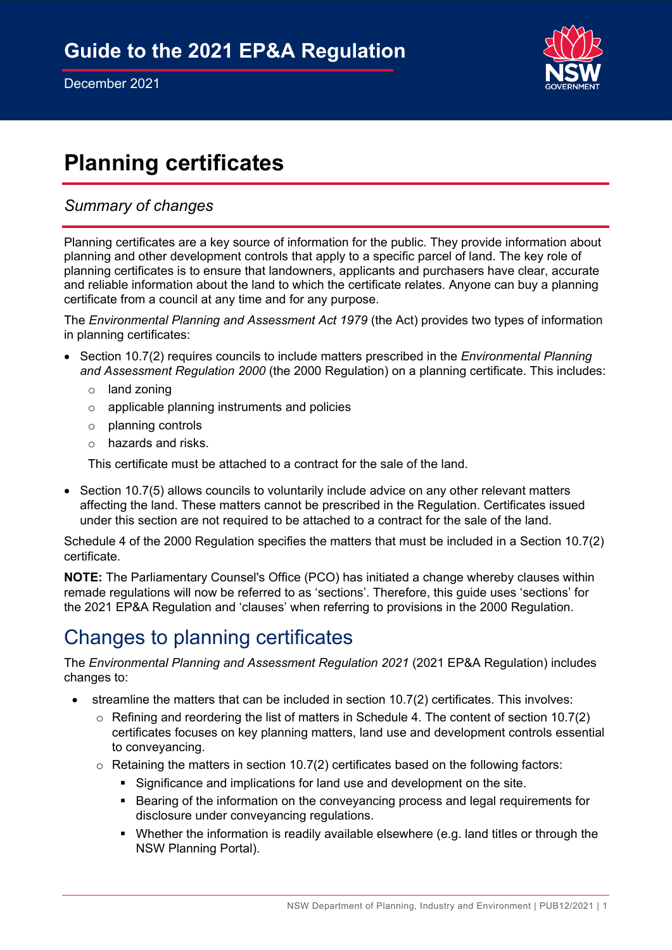

# **Planning certificates**

## *Summary of changes*

Planning certificates are a key source of information for the public. They provide information about planning and other development controls that apply to a specific parcel of land. The key role of planning certificates is to ensure that landowners, applicants and purchasers have clear, accurate and reliable information about the land to which the certificate relates. Anyone can buy a planning certificate from a council at any time and for any purpose.

The *Environmental Planning and Assessment Act 1979* (the Act) provides two types of information in planning certificates:

- Section 10.7(2) requires councils to include matters prescribed in the *Environmental Planning and Assessment Regulation 2000* (the 2000 Regulation) on a planning certificate. This includes:
	- o land zoning
	- o applicable planning instruments and policies
	- o planning controls
	- o hazards and risks.

This certificate must be attached to a contract for the sale of the land.

• Section 10.7(5) allows councils to voluntarily include advice on any other relevant matters affecting the land. These matters cannot be prescribed in the Regulation. Certificates issued under this section are not required to be attached to a contract for the sale of the land.

Schedule 4 of the 2000 Regulation specifies the matters that must be included in a Section 10.7(2) certificate.

**NOTE:** The Parliamentary Counsel's Office (PCO) has initiated a change whereby clauses within remade regulations will now be referred to as 'sections'. Therefore, this guide uses 'sections' for the 2021 EP&A Regulation and 'clauses' when referring to provisions in the 2000 Regulation.

## Changes to planning certificates

The *Environmental Planning and Assessment Regulation 2021* (2021 EP&A Regulation) includes changes to:

- streamline the matters that can be included in section 10.7(2) certificates. This involves:
	- $\circ$  Refining and reordering the list of matters in Schedule 4. The content of section 10.7(2) certificates focuses on key planning matters, land use and development controls essential to conveyancing.
	- $\circ$  Retaining the matters in section 10.7(2) certificates based on the following factors:
		- Significance and implications for land use and development on the site.
		- **Bearing of the information on the conveyancing process and legal requirements for** disclosure under conveyancing regulations.
		- Whether the information is readily available elsewhere (e.g. land titles or through the NSW Planning Portal).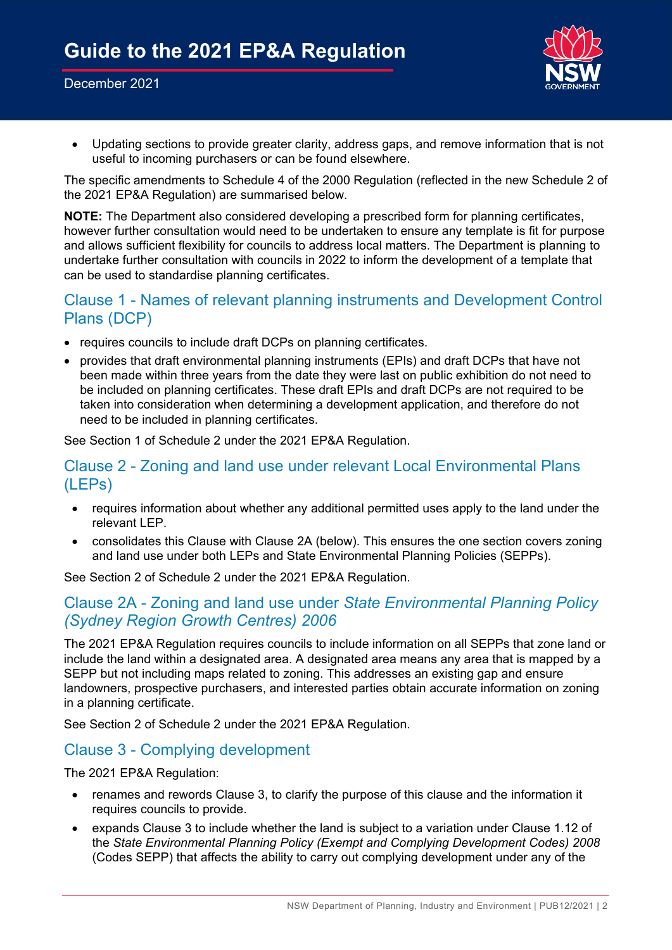#### December 2021



• Updating sections to provide greater clarity, address gaps, and remove information that is not useful to incoming purchasers or can be found elsewhere.

The specific amendments to Schedule 4 of the 2000 Regulation (reflected in the new Schedule 2 of the 2021 EP&A Regulation) are summarised below.

**NOTE:** The Department also considered developing a prescribed form for planning certificates, however further consultation would need to be undertaken to ensure any template is fit for purpose and allows sufficient flexibility for councils to address local matters. The Department is planning to undertake further consultation with councils in 2022 to inform the development of a template that can be used to standardise planning certificates.

## Clause 1 - Names of relevant planning instruments and Development Control Plans (DCP)

- requires councils to include draft DCPs on planning certificates.
- provides that draft environmental planning instruments (EPIs) and draft DCPs that have not been made within three years from the date they were last on public exhibition do not need to be included on planning certificates. These draft EPIs and draft DCPs are not required to be taken into consideration when determining a development application, and therefore do not need to be included in planning certificates.

See Section 1 of Schedule 2 under the 2021 EP&A Regulation.

### Clause 2 - Zoning and land use under relevant Local Environmental Plans (LEPs)

- requires information about whether any additional permitted uses apply to the land under the relevant LEP.
- consolidates this Clause with Clause 2A (below). This ensures the one section covers zoning and land use under both LEPs and State Environmental Planning Policies (SEPPs).

See Section 2 of Schedule 2 under the 2021 EP&A Regulation.

## Clause 2A - Zoning and land use under *State Environmental Planning Policy (Sydney Region Growth Centres) 2006*

The 2021 EP&A Regulation requires councils to include information on all SEPPs that zone land or include the land within a designated area. A designated area means any area that is mapped by a SEPP but not including maps related to zoning. This addresses an existing gap and ensure landowners, prospective purchasers, and interested parties obtain accurate information on zoning in a planning certificate.

See Section 2 of Schedule 2 under the 2021 EP&A Regulation.

### Clause 3 - Complying development

The 2021 EP&A Regulation:

- renames and rewords Clause 3, to clarify the purpose of this clause and the information it requires councils to provide.
- expands Clause 3 to include whether the land is subject to a variation under Clause 1.12 of the *State Environmental Planning Policy (Exempt and Complying Development Codes) 2008* (Codes SEPP) that affects the ability to carry out complying development under any of the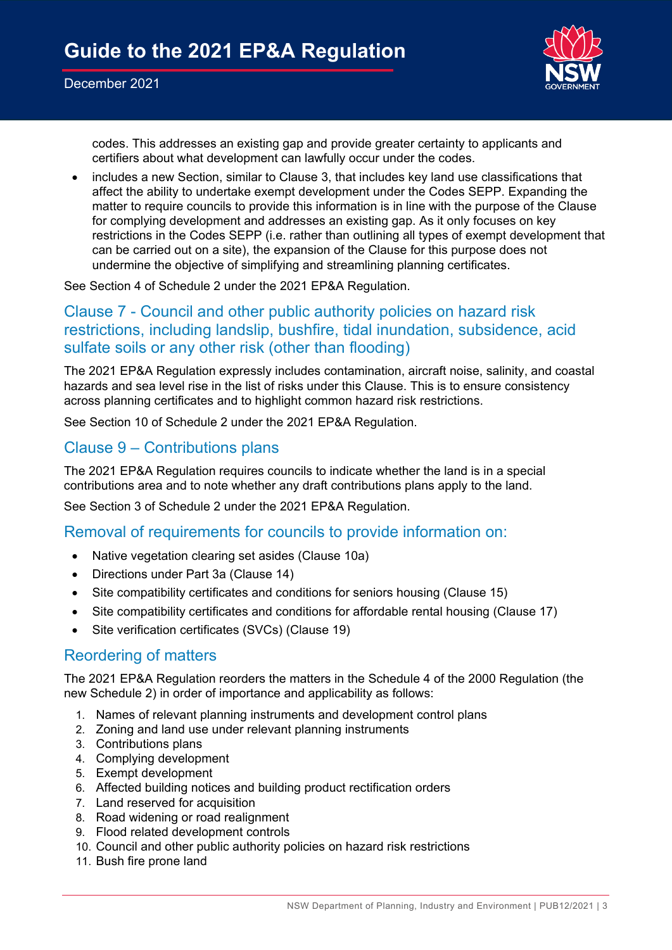

codes. This addresses an existing gap and provide greater certainty to applicants and certifiers about what development can lawfully occur under the codes.

• includes a new Section, similar to Clause 3, that includes key land use classifications that affect the ability to undertake exempt development under the Codes SEPP. Expanding the matter to require councils to provide this information is in line with the purpose of the Clause for complying development and addresses an existing gap. As it only focuses on key restrictions in the Codes SEPP (i.e. rather than outlining all types of exempt development that can be carried out on a site), the expansion of the Clause for this purpose does not undermine the objective of simplifying and streamlining planning certificates.

See Section 4 of Schedule 2 under the 2021 EP&A Regulation.

## Clause 7 - Council and other public authority policies on hazard risk restrictions, including landslip, bushfire, tidal inundation, subsidence, acid sulfate soils or any other risk (other than flooding)

The 2021 EP&A Regulation expressly includes contamination, aircraft noise, salinity, and coastal hazards and sea level rise in the list of risks under this Clause. This is to ensure consistency across planning certificates and to highlight common hazard risk restrictions.

See Section 10 of Schedule 2 under the 2021 EP&A Regulation.

## Clause 9 – Contributions plans

The 2021 EP&A Regulation requires councils to indicate whether the land is in a special contributions area and to note whether any draft contributions plans apply to the land.

See Section 3 of Schedule 2 under the 2021 EP&A Regulation.

### Removal of requirements for councils to provide information on:

- Native vegetation clearing set asides (Clause 10a)
- Directions under Part 3a (Clause 14)
- Site compatibility certificates and conditions for seniors housing (Clause 15)
- Site compatibility certificates and conditions for affordable rental housing (Clause 17)
- Site verification certificates (SVCs) (Clause 19)

### Reordering of matters

The 2021 EP&A Regulation reorders the matters in the Schedule 4 of the 2000 Regulation (the new Schedule 2) in order of importance and applicability as follows:

- 1. Names of relevant planning instruments and development control plans
- 2. Zoning and land use under relevant planning instruments
- 3. Contributions plans
- 4. Complying development
- 5. Exempt development
- 6. Affected building notices and building product rectification orders
- 7. Land reserved for acquisition
- 8. Road widening or road realignment
- 9. Flood related development controls
- 10. Council and other public authority policies on hazard risk restrictions
- 11. Bush fire prone land